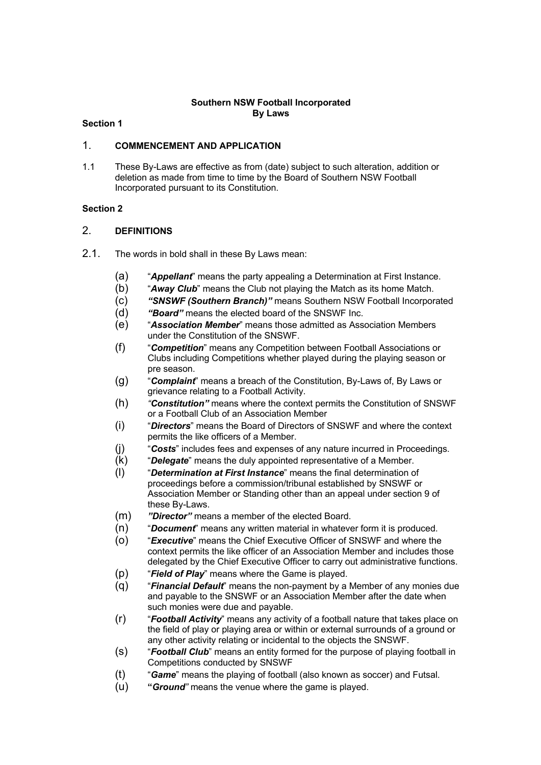## **Southern NSW Football Incorporated By Laws**

## **Section 1**

## 1. **COMMENCEMENT AND APPLICATION**

1.1 These By-Laws are effective as from (date) subject to such alteration, addition or deletion as made from time to time by the Board of Southern NSW Football Incorporated pursuant to its Constitution.

## **Section 2**

## 2. **DEFINITIONS**

- 2.1. The words in bold shall in these By Laws mean:
	- (a) "*Appellant*" means the party appealing a Determination at First Instance.
	- (b) "*Away Club*" means the Club not playing the Match as its home Match.
	- (c) *"SNSWF (Southern Branch)"* means Southern NSW Football Incorporated
	- (d) *"Board"* means the elected board of the SNSWF Inc.
	- (e) "*Association Member*" means those admitted as Association Members under the Constitution of the SNSWF.
	- (f) "*Competition*" means any Competition between Football Associations or Clubs including Competitions whether played during the playing season or pre season.
	- (g) "*Complaint*" means a breach of the Constitution, By-Laws of, By Laws or grievance relating to a Football Activity.
	- (h) *"Constitution"* means where the context permits the Constitution of SNSWF or a Football Club of an Association Member
	- (i) "*Directors*" means the Board of Directors of SNSWF and where the context permits the like officers of a Member.
	- (j) "*Costs*" includes fees and expenses of any nature incurred in Proceedings.
	- (k) "*Delegate*" means the duly appointed representative of a Member.
	- (l) "*Determination at First Instance*" means the final determination of proceedings before a commission/tribunal established by SNSWF or Association Member or Standing other than an appeal under section 9 of these By-Laws.
	- (m) *"Director"* means a member of the elected Board.
	- (n) "*Document*" means any written material in whatever form it is produced.
	- (o) "*Executive*" means the Chief Executive Officer of SNSWF and where the context permits the like officer of an Association Member and includes those delegated by the Chief Executive Officer to carry out administrative functions.
	- (p) "*Field of Play*" means where the Game is played.
	- (q) "*Financial Default*" means the non-payment by a Member of any monies due and payable to the SNSWF or an Association Member after the date when such monies were due and payable.
	- (r) "*Football Activity*" means any activity of a football nature that takes place on the field of play or playing area or within or external surrounds of a ground or any other activity relating or incidental to the objects the SNSWF.
	- (s) "*Football Club*" means an entity formed for the purpose of playing football in Competitions conducted by SNSWF
	- (t) "*Game*" means the playing of football (also known as soccer) and Futsal.
	- (u) **"***Ground"* means the venue where the game is played.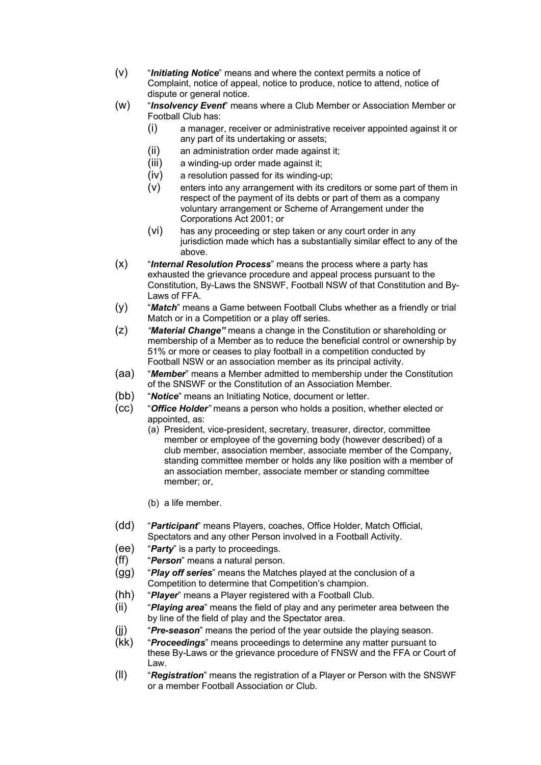- (v) "*Initiating Notice*" means and where the context permits a notice of Complaint, notice of appeal, notice to produce, notice to attend, notice of dispute or general notice.
- (w) "*Insolvency Event*" means where a Club Member or Association Member or Football Club has:
	- (i) a manager, receiver or administrative receiver appointed against it or any part of its undertaking or assets;
	- (ii) an administration order made against it;
	- (iii) a winding-up order made against it;
	- (iv) a resolution passed for its winding-up;
	- (v) enters into any arrangement with its creditors or some part of them in respect of the payment of its debts or part of them as a company voluntary arrangement or Scheme of Arrangement under the Corporations Act 2001; or
	- (vi) has any proceeding or step taken or any court order in any jurisdiction made which has a substantially similar effect to any of the above.
- (x) "*Internal Resolution Process*" means the process where a party has exhausted the grievance procedure and appeal process pursuant to the Constitution, By-Laws the SNSWF, Football NSW of that Constitution and By-Laws of FFA.
- (y) "*Match*" means a Game between Football Clubs whether as a friendly or trial Match or in a Competition or a play off series.
- (z) *"Material Change"* means a change in the Constitution or shareholding or membership of a Member as to reduce the beneficial control or ownership by 51% or more or ceases to play football in a competition conducted by Football NSW or an association member as its principal activity.
- (aa) "*Member*" means a Member admitted to membership under the Constitution of the SNSWF or the Constitution of an Association Member.
- (bb) "*Notice*" means an Initiating Notice, document or letter.
- (cc) "*Office Holder"* means a person who holds a position, whether elected or appointed, as:
	- (a) President, vice-president, secretary, treasurer, director, committee member or employee of the governing body (however described) of a club member, association member, associate member of the Company, standing committee member or holds any like position with a member of an association member, associate member or standing committee member; or,
		- (b) a life member.
- (dd) "*Participant*" means Players, coaches, Office Holder, Match Official, Spectators and any other Person involved in a Football Activity.
- (ee) "*Party*" is a party to proceedings.
- (ff) "*Person*" means a natural person.
- (gg) "*Play off series*" means the Matches played at the conclusion of a Competition to determine that Competition's champion.
- (hh) "*Player*" means a Player registered with a Football Club.
- (ii) "*Playing area*" means the field of play and any perimeter area between the by line of the field of play and the Spectator area.
- (jj) "*Pre-season*" means the period of the year outside the playing season.
- (kk) "*Proceedings*" means proceedings to determine any matter pursuant to these By-Laws or the grievance procedure of FNSW and the FFA or Court of Law.
- (ll) "*Registration*" means the registration of a Player or Person with the SNSWF or a member Football Association or Club.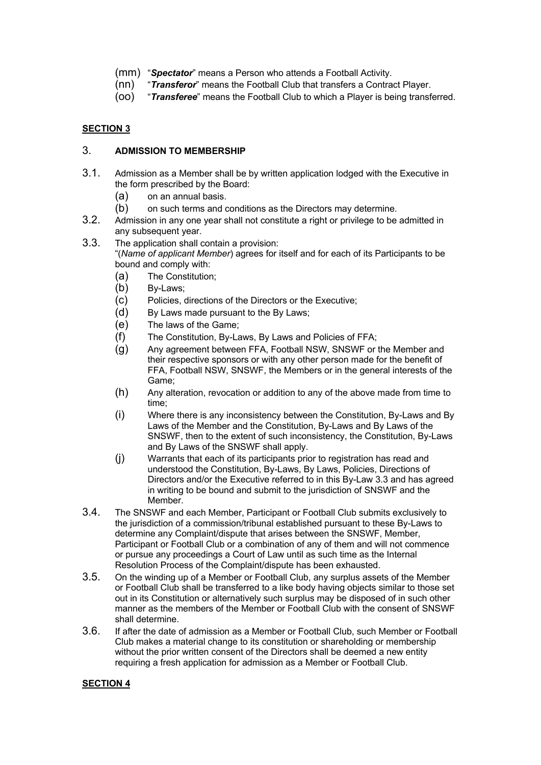- (mm) "*Spectator*" means a Person who attends a Football Activity.
- (nn) "*Transferor*" means the Football Club that transfers a Contract Player.
- (oo) "*Transferee*" means the Football Club to which a Player is being transferred.

## **SECTION 3**

## 3. **ADMISSION TO MEMBERSHIP**

- 3.1. Admission as a Member shall be by written application lodged with the Executive in the form prescribed by the Board:
	- (a) on an annual basis.
	- (b) on such terms and conditions as the Directors may determine.
- 3.2. Admission in any one year shall not constitute a right or privilege to be admitted in any subsequent year.
- 3.3. The application shall contain a provision: "(*Name of applicant Member*) agrees for itself and for each of its Participants to be bound and comply with:
	- (a) The Constitution;
	- (b) By-Laws;
	- (c) Policies, directions of the Directors or the Executive;
	- (d) By Laws made pursuant to the By Laws;
	- (e) The laws of the Game;
	- (f) The Constitution, By-Laws, By Laws and Policies of FFA;
	- (g) Any agreement between FFA, Football NSW, SNSWF or the Member and their respective sponsors or with any other person made for the benefit of FFA, Football NSW, SNSWF, the Members or in the general interests of the Game;
	- (h) Any alteration, revocation or addition to any of the above made from time to time;
	- (i) Where there is any inconsistency between the Constitution, By-Laws and By Laws of the Member and the Constitution, By-Laws and By Laws of the SNSWF, then to the extent of such inconsistency, the Constitution, By-Laws and By Laws of the SNSWF shall apply.
	- (j) Warrants that each of its participants prior to registration has read and understood the Constitution, By-Laws, By Laws, Policies, Directions of Directors and/or the Executive referred to in this By-Law 3.3 and has agreed in writing to be bound and submit to the jurisdiction of SNSWF and the Member.
- 3.4. The SNSWF and each Member, Participant or Football Club submits exclusively to the jurisdiction of a commission/tribunal established pursuant to these By-Laws to determine any Complaint/dispute that arises between the SNSWF, Member, Participant or Football Club or a combination of any of them and will not commence or pursue any proceedings a Court of Law until as such time as the Internal Resolution Process of the Complaint/dispute has been exhausted.
- 3.5. On the winding up of a Member or Football Club, any surplus assets of the Member or Football Club shall be transferred to a like body having objects similar to those set out in its Constitution or alternatively such surplus may be disposed of in such other manner as the members of the Member or Football Club with the consent of SNSWF shall determine.
- 3.6. If after the date of admission as a Member or Football Club, such Member or Football Club makes a material change to its constitution or shareholding or membership without the prior written consent of the Directors shall be deemed a new entity requiring a fresh application for admission as a Member or Football Club.

## **SECTION 4**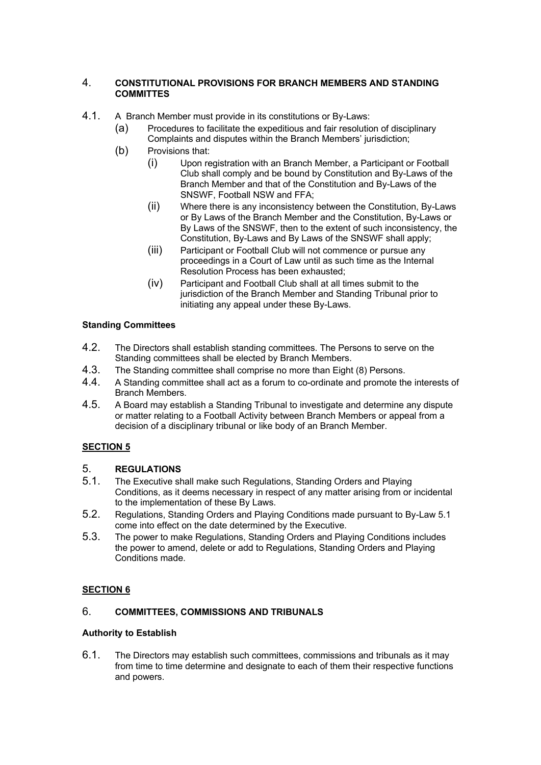## 4. **CONSTITUTIONAL PROVISIONS FOR BRANCH MEMBERS AND STANDING COMMITTES**

- 4.1. A Branch Member must provide in its constitutions or By-Laws:
	- (a) Procedures to facilitate the expeditious and fair resolution of disciplinary Complaints and disputes within the Branch Members' jurisdiction;
	- (b) Provisions that:
		- (i) Upon registration with an Branch Member, a Participant or Football Club shall comply and be bound by Constitution and By-Laws of the Branch Member and that of the Constitution and By-Laws of the SNSWF, Football NSW and FFA;
		- (ii) Where there is any inconsistency between the Constitution, By-Laws or By Laws of the Branch Member and the Constitution, By-Laws or By Laws of the SNSWF, then to the extent of such inconsistency, the Constitution, By-Laws and By Laws of the SNSWF shall apply;
		- (iii) Participant or Football Club will not commence or pursue any proceedings in a Court of Law until as such time as the Internal Resolution Process has been exhausted;
		- (iv) Participant and Football Club shall at all times submit to the jurisdiction of the Branch Member and Standing Tribunal prior to initiating any appeal under these By-Laws.

# **Standing Committees**

- 4.2. The Directors shall establish standing committees. The Persons to serve on the Standing committees shall be elected by Branch Members.
- 4.3. The Standing committee shall comprise no more than Eight (8) Persons.
- 4.4. A Standing committee shall act as a forum to co-ordinate and promote the interests of Branch Members.
- 4.5. A Board may establish a Standing Tribunal to investigate and determine any dispute or matter relating to a Football Activity between Branch Members or appeal from a decision of a disciplinary tribunal or like body of an Branch Member.

# **SECTION 5**

# 5. **REGULATIONS**

- 5.1. The Executive shall make such Regulations, Standing Orders and Playing Conditions, as it deems necessary in respect of any matter arising from or incidental to the implementation of these By Laws.
- 5.2. Regulations, Standing Orders and Playing Conditions made pursuant to By-Law 5.1 come into effect on the date determined by the Executive.
- 5.3. The power to make Regulations, Standing Orders and Playing Conditions includes the power to amend, delete or add to Regulations, Standing Orders and Playing Conditions made.

# **SECTION 6**

# 6. **COMMITTEES, COMMISSIONS AND TRIBUNALS**

# **Authority to Establish**

6.1. The Directors may establish such committees, commissions and tribunals as it may from time to time determine and designate to each of them their respective functions and powers.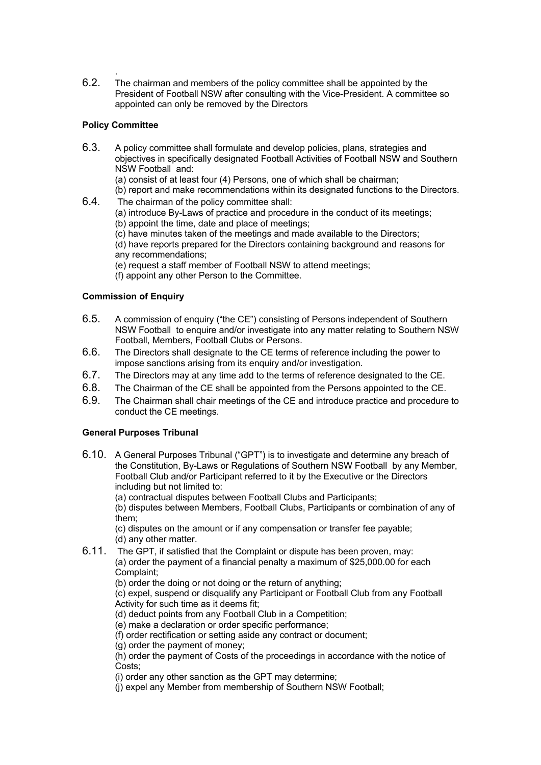6.2. The chairman and members of the policy committee shall be appointed by the President of Football NSW after consulting with the Vice-President. A committee so appointed can only be removed by the Directors

# **Policy Committee**

.

- 6.3. A policy committee shall formulate and develop policies, plans, strategies and objectives in specifically designated Football Activities of Football NSW and Southern NSW Football and:
	- (a) consist of at least four (4) Persons, one of which shall be chairman;
	- (b) report and make recommendations within its designated functions to the Directors.
- 6.4. The chairman of the policy committee shall:
	- (a) introduce By-Laws of practice and procedure in the conduct of its meetings;
	- (b) appoint the time, date and place of meetings;
	- (c) have minutes taken of the meetings and made available to the Directors;
	- (d) have reports prepared for the Directors containing background and reasons for any recommendations;
	- (e) request a staff member of Football NSW to attend meetings;
	- (f) appoint any other Person to the Committee.

## **Commission of Enquiry**

- 6.5. A commission of enquiry ("the CE") consisting of Persons independent of Southern NSW Football to enquire and/or investigate into any matter relating to Southern NSW Football, Members, Football Clubs or Persons.
- 6.6. The Directors shall designate to the CE terms of reference including the power to impose sanctions arising from its enquiry and/or investigation.
- 6.7. The Directors may at any time add to the terms of reference designated to the CE.
- 6.8. The Chairman of the CE shall be appointed from the Persons appointed to the CE.
- 6.9. The Chairman shall chair meetings of the CE and introduce practice and procedure to conduct the CE meetings.

# **General Purposes Tribunal**

- 6.10. A General Purposes Tribunal ("GPT") is to investigate and determine any breach of the Constitution, By-Laws or Regulations of Southern NSW Football by any Member, Football Club and/or Participant referred to it by the Executive or the Directors including but not limited to:
	- (a) contractual disputes between Football Clubs and Participants;

(b) disputes between Members, Football Clubs, Participants or combination of any of them;

(c) disputes on the amount or if any compensation or transfer fee payable; (d) any other matter.

6.11. The GPT, if satisfied that the Complaint or dispute has been proven, may: (a) order the payment of a financial penalty a maximum of \$25,000.00 for each Complaint;

(b) order the doing or not doing or the return of anything;

(c) expel, suspend or disqualify any Participant or Football Club from any Football Activity for such time as it deems fit;

(d) deduct points from any Football Club in a Competition;

- (e) make a declaration or order specific performance;
- (f) order rectification or setting aside any contract or document;
- (g) order the payment of money;

(h) order the payment of Costs of the proceedings in accordance with the notice of Costs:

(i) order any other sanction as the GPT may determine;

(j) expel any Member from membership of Southern NSW Football;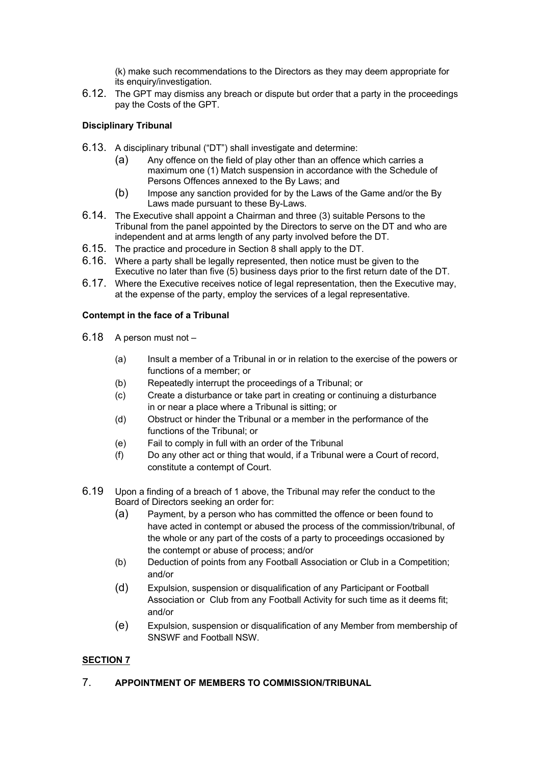(k) make such recommendations to the Directors as they may deem appropriate for its enquiry/investigation.

6.12. The GPT may dismiss any breach or dispute but order that a party in the proceedings pay the Costs of the GPT.

# **Disciplinary Tribunal**

- 6.13. A disciplinary tribunal ("DT") shall investigate and determine:
	- (a) Any offence on the field of play other than an offence which carries a maximum one (1) Match suspension in accordance with the Schedule of Persons Offences annexed to the By Laws; and
	- (b) Impose any sanction provided for by the Laws of the Game and/or the By Laws made pursuant to these By-Laws.
- 6.14. The Executive shall appoint a Chairman and three (3) suitable Persons to the Tribunal from the panel appointed by the Directors to serve on the DT and who are independent and at arms length of any party involved before the DT.
- 6.15. The practice and procedure in Section 8 shall apply to the DT.
- 6.16. Where a party shall be legally represented, then notice must be given to the Executive no later than five (5) business days prior to the first return date of the DT.
- 6.17. Where the Executive receives notice of legal representation, then the Executive may, at the expense of the party, employ the services of a legal representative.

## **Contempt in the face of a Tribunal**

- 6.18 A person must not
	- (a) Insult a member of a Tribunal in or in relation to the exercise of the powers or functions of a member; or
	- (b) Repeatedly interrupt the proceedings of a Tribunal; or
	- (c) Create a disturbance or take part in creating or continuing a disturbance in or near a place where a Tribunal is sitting; or
	- (d) Obstruct or hinder the Tribunal or a member in the performance of the functions of the Tribunal; or
	- (e) Fail to comply in full with an order of the Tribunal
	- (f) Do any other act or thing that would, if a Tribunal were a Court of record, constitute a contempt of Court.
- 6.19 Upon a finding of a breach of 1 above, the Tribunal may refer the conduct to the Board of Directors seeking an order for:
	- (a) Payment, by a person who has committed the offence or been found to have acted in contempt or abused the process of the commission/tribunal, of the whole or any part of the costs of a party to proceedings occasioned by the contempt or abuse of process; and/or
	- (b) Deduction of points from any Football Association or Club in a Competition; and/or
	- (d) Expulsion, suspension or disqualification of any Participant or Football Association or Club from any Football Activity for such time as it deems fit; and/or
	- (e) Expulsion, suspension or disqualification of any Member from membership of SNSWF and Football NSW.

# **SECTION 7**

# 7. **APPOINTMENT OF MEMBERS TO COMMISSION/TRIBUNAL**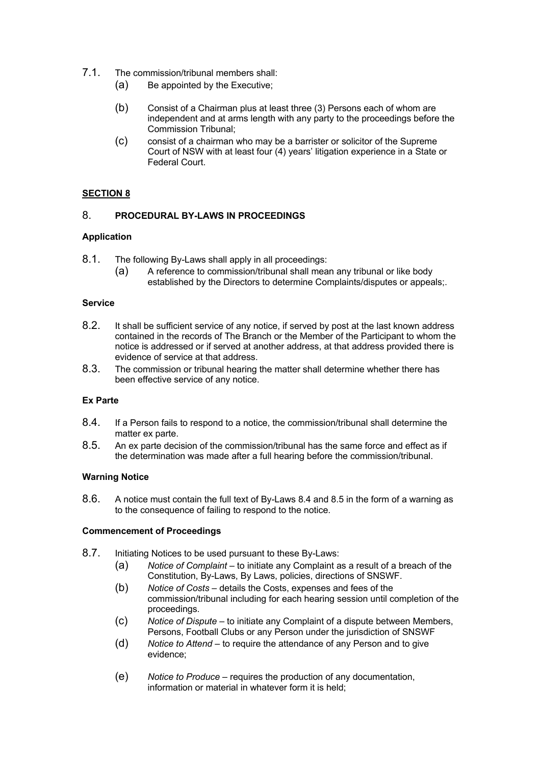- 7.1. The commission/tribunal members shall:
	- (a) Be appointed by the Executive;
	- (b) Consist of a Chairman plus at least three (3) Persons each of whom are independent and at arms length with any party to the proceedings before the Commission Tribunal;
	- (c) consist of a chairman who may be a barrister or solicitor of the Supreme Court of NSW with at least four (4) years' litigation experience in a State or Federal Court.

## **SECTION 8**

## 8. **PROCEDURAL BY-LAWS IN PROCEEDINGS**

#### **Application**

- 8.1. The following By-Laws shall apply in all proceedings:
	- (a) A reference to commission/tribunal shall mean any tribunal or like body established by the Directors to determine Complaints/disputes or appeals;.

#### **Service**

- 8.2. It shall be sufficient service of any notice, if served by post at the last known address contained in the records of The Branch or the Member of the Participant to whom the notice is addressed or if served at another address, at that address provided there is evidence of service at that address.
- 8.3. The commission or tribunal hearing the matter shall determine whether there has been effective service of any notice.

## **Ex Parte**

- 8.4. If a Person fails to respond to a notice, the commission/tribunal shall determine the matter ex parte.
- 8.5. An ex parte decision of the commission/tribunal has the same force and effect as if the determination was made after a full hearing before the commission/tribunal.

#### **Warning Notice**

8.6. A notice must contain the full text of By-Laws 8.4 and 8.5 in the form of a warning as to the consequence of failing to respond to the notice.

## **Commencement of Proceedings**

- 8.7. Initiating Notices to be used pursuant to these By-Laws:
	- (a) *Notice of Complaint* to initiate any Complaint as a result of a breach of the Constitution, By-Laws, By Laws, policies, directions of SNSWF.
	- (b) *Notice of Costs* details the Costs, expenses and fees of the commission/tribunal including for each hearing session until completion of the proceedings.
	- (c) *Notice of Dispute* to initiate any Complaint of a dispute between Members, Persons, Football Clubs or any Person under the jurisdiction of SNSWF
	- (d) *Notice to Attend* to require the attendance of any Person and to give evidence;
	- (e) *Notice to Produce* requires the production of any documentation, information or material in whatever form it is held;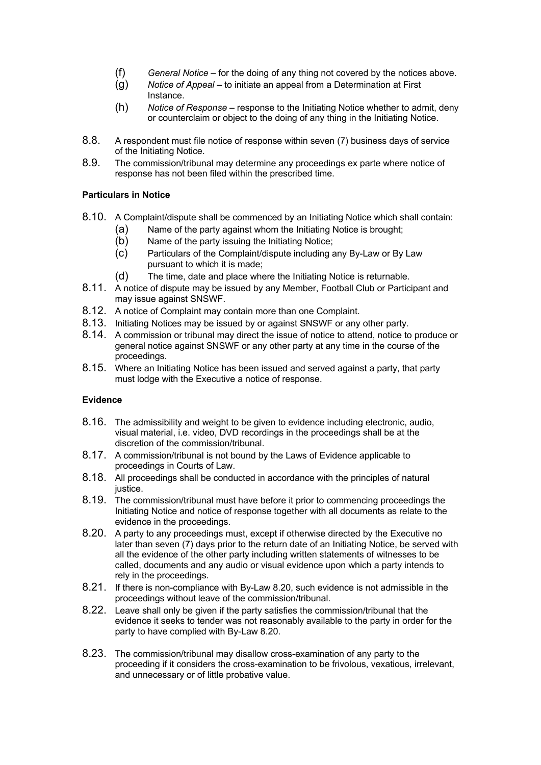- (f) *General Notice* for the doing of any thing not covered by the notices above.
- (g) *Notice of Appeal* to initiate an appeal from a Determination at First Instance.
- (h) *Notice of Response* response to the Initiating Notice whether to admit, deny or counterclaim or object to the doing of any thing in the Initiating Notice.
- 8.8. A respondent must file notice of response within seven (7) business days of service of the Initiating Notice.
- 8.9. The commission/tribunal may determine any proceedings ex parte where notice of response has not been filed within the prescribed time.

## **Particulars in Notice**

- 8.10. A Complaint/dispute shall be commenced by an Initiating Notice which shall contain:
	- (a) Name of the party against whom the Initiating Notice is brought;
	- (b) Name of the party issuing the Initiating Notice;
	- (c) Particulars of the Complaint/dispute including any By-Law or By Law pursuant to which it is made;
	- (d) The time, date and place where the Initiating Notice is returnable.
- 8.11. A notice of dispute may be issued by any Member, Football Club or Participant and may issue against SNSWF.
- 8.12. A notice of Complaint may contain more than one Complaint.
- 8.13. Initiating Notices may be issued by or against SNSWF or any other party.
- 8.14. A commission or tribunal may direct the issue of notice to attend, notice to produce or general notice against SNSWF or any other party at any time in the course of the proceedings.
- 8.15. Where an Initiating Notice has been issued and served against a party, that party must lodge with the Executive a notice of response.

# **Evidence**

- 8.16. The admissibility and weight to be given to evidence including electronic, audio, visual material, i.e. video, DVD recordings in the proceedings shall be at the discretion of the commission/tribunal.
- 8.17. A commission/tribunal is not bound by the Laws of Evidence applicable to proceedings in Courts of Law.
- 8.18. All proceedings shall be conducted in accordance with the principles of natural justice.
- 8.19. The commission/tribunal must have before it prior to commencing proceedings the Initiating Notice and notice of response together with all documents as relate to the evidence in the proceedings.
- 8.20. A party to any proceedings must, except if otherwise directed by the Executive no later than seven (7) days prior to the return date of an Initiating Notice, be served with all the evidence of the other party including written statements of witnesses to be called, documents and any audio or visual evidence upon which a party intends to rely in the proceedings.
- 8.21. If there is non-compliance with By-Law 8.20, such evidence is not admissible in the proceedings without leave of the commission/tribunal.
- 8.22. Leave shall only be given if the party satisfies the commission/tribunal that the evidence it seeks to tender was not reasonably available to the party in order for the party to have complied with By-Law 8.20.
- 8.23. The commission/tribunal may disallow cross-examination of any party to the proceeding if it considers the cross-examination to be frivolous, vexatious, irrelevant, and unnecessary or of little probative value.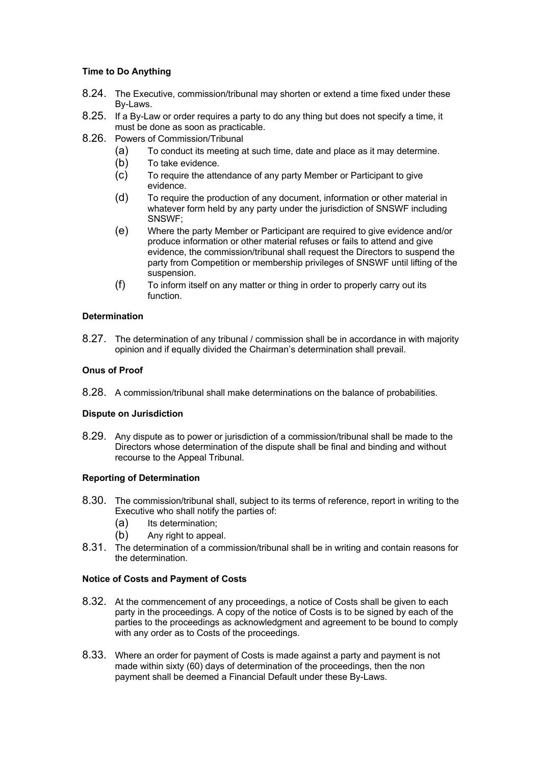## **Time to Do Anything**

- 8.24. The Executive, commission/tribunal may shorten or extend a time fixed under these By-Laws.
- 8.25. If a By-Law or order requires a party to do any thing but does not specify a time, it must be done as soon as practicable.
- 8.26. Powers of Commission/Tribunal
	- (a) To conduct its meeting at such time, date and place as it may determine.
	- (b) To take evidence.
	- (c) To require the attendance of any party Member or Participant to give evidence.
	- (d) To require the production of any document, information or other material in whatever form held by any party under the jurisdiction of SNSWF including SNSWF;
	- (e) Where the party Member or Participant are required to give evidence and/or produce information or other material refuses or fails to attend and give evidence, the commission/tribunal shall request the Directors to suspend the party from Competition or membership privileges of SNSWF until lifting of the suspension.
	- (f) To inform itself on any matter or thing in order to properly carry out its function.

## **Determination**

8.27. The determination of any tribunal / commission shall be in accordance in with majority opinion and if equally divided the Chairman's determination shall prevail.

## **Onus of Proof**

8.28. A commission/tribunal shall make determinations on the balance of probabilities.

## **Dispute on Jurisdiction**

8.29. Any dispute as to power or jurisdiction of a commission/tribunal shall be made to the Directors whose determination of the dispute shall be final and binding and without recourse to the Appeal Tribunal.

## **Reporting of Determination**

- 8.30. The commission/tribunal shall, subject to its terms of reference, report in writing to the Executive who shall notify the parties of:
	- (a) Its determination:
	- (b) Any right to appeal.
- 8.31. The determination of a commission/tribunal shall be in writing and contain reasons for the determination.

## **Notice of Costs and Payment of Costs**

- 8.32. At the commencement of any proceedings, a notice of Costs shall be given to each party in the proceedings. A copy of the notice of Costs is to be signed by each of the parties to the proceedings as acknowledgment and agreement to be bound to comply with any order as to Costs of the proceedings.
- 8.33. Where an order for payment of Costs is made against a party and payment is not made within sixty (60) days of determination of the proceedings, then the non payment shall be deemed a Financial Default under these By-Laws.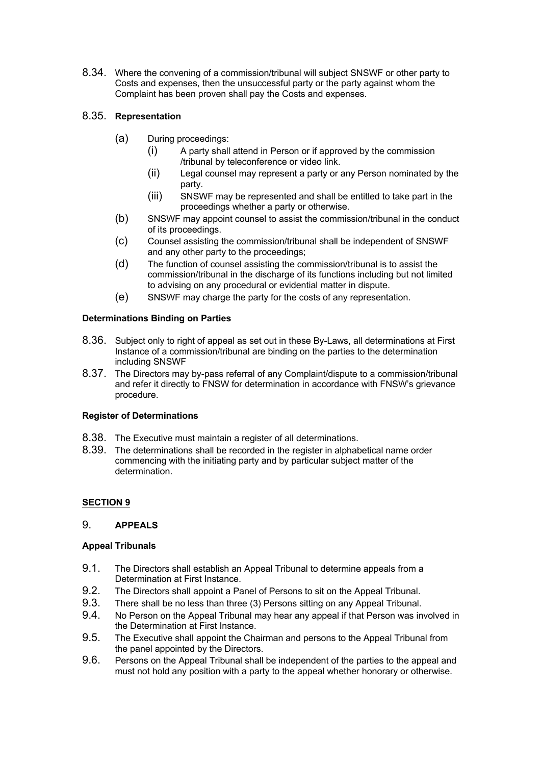8.34. Where the convening of a commission/tribunal will subject SNSWF or other party to Costs and expenses, then the unsuccessful party or the party against whom the Complaint has been proven shall pay the Costs and expenses.

# 8.35. **Representation**

- (a) During proceedings:
	- (i) A party shall attend in Person or if approved by the commission /tribunal by teleconference or video link.
	- (ii) Legal counsel may represent a party or any Person nominated by the party.
	- (iii) SNSWF may be represented and shall be entitled to take part in the proceedings whether a party or otherwise.
- (b) SNSWF may appoint counsel to assist the commission/tribunal in the conduct of its proceedings.
- (c) Counsel assisting the commission/tribunal shall be independent of SNSWF and any other party to the proceedings;
- (d) The function of counsel assisting the commission/tribunal is to assist the commission/tribunal in the discharge of its functions including but not limited to advising on any procedural or evidential matter in dispute.
- (e) SNSWF may charge the party for the costs of any representation.

## **Determinations Binding on Parties**

- 8.36. Subject only to right of appeal as set out in these By-Laws, all determinations at First Instance of a commission/tribunal are binding on the parties to the determination including SNSWF
- 8.37. The Directors may by-pass referral of any Complaint/dispute to a commission/tribunal and refer it directly to FNSW for determination in accordance with FNSW's grievance procedure.

## **Register of Determinations**

- 8.38. The Executive must maintain a register of all determinations.
- 8.39. The determinations shall be recorded in the register in alphabetical name order commencing with the initiating party and by particular subject matter of the determination.

# **SECTION 9**

# 9. **APPEALS**

## **Appeal Tribunals**

- 9.1. The Directors shall establish an Appeal Tribunal to determine appeals from a Determination at First Instance.
- 9.2. The Directors shall appoint a Panel of Persons to sit on the Appeal Tribunal.
- 9.3. There shall be no less than three (3) Persons sitting on any Appeal Tribunal.
- 9.4. No Person on the Appeal Tribunal may hear any appeal if that Person was involved in the Determination at First Instance.
- 9.5. The Executive shall appoint the Chairman and persons to the Appeal Tribunal from the panel appointed by the Directors.
- 9.6. Persons on the Appeal Tribunal shall be independent of the parties to the appeal and must not hold any position with a party to the appeal whether honorary or otherwise.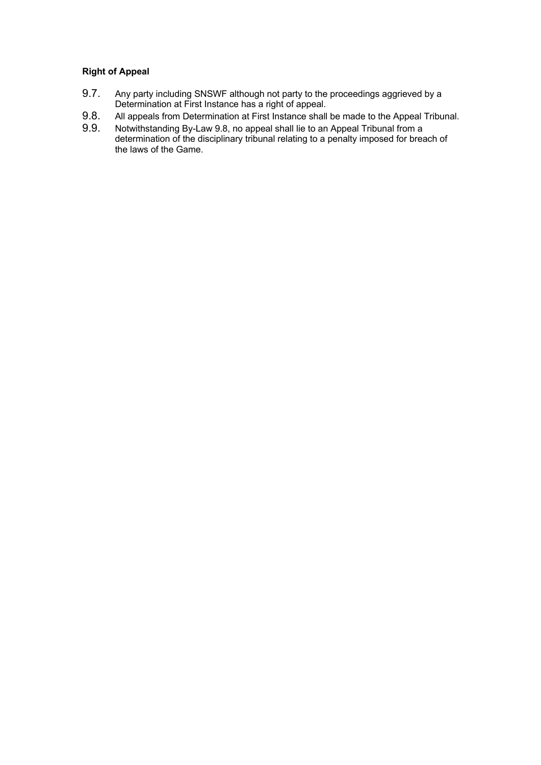# **Right of Appeal**

- 9.7. Any party including SNSWF although not party to the proceedings aggrieved by a Determination at First Instance has a right of appeal.
- 9.8. All appeals from Determination at First Instance shall be made to the Appeal Tribunal.
- 9.9. Notwithstanding By-Law 9.8, no appeal shall lie to an Appeal Tribunal from a determination of the disciplinary tribunal relating to a penalty imposed for breach of the laws of the Game.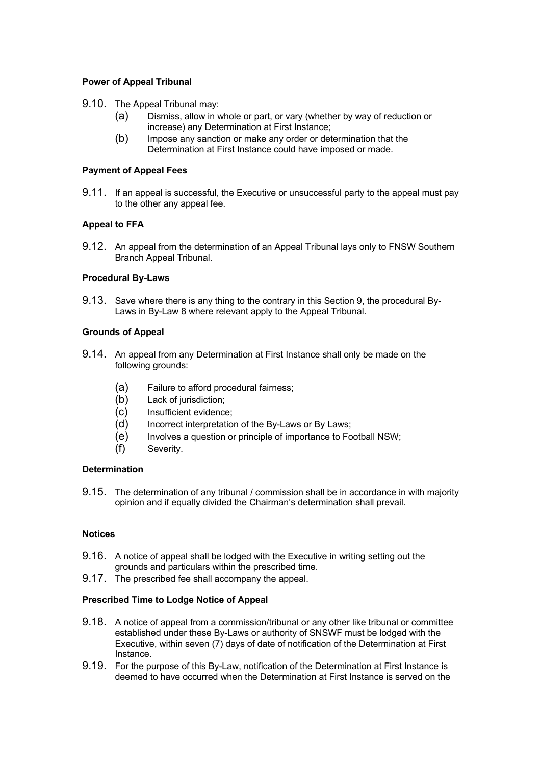## **Power of Appeal Tribunal**

- 9.10. The Appeal Tribunal may:
	- (a) Dismiss, allow in whole or part, or vary (whether by way of reduction or increase) any Determination at First Instance;
	- (b) Impose any sanction or make any order or determination that the Determination at First Instance could have imposed or made.

#### **Payment of Appeal Fees**

9.11. If an appeal is successful, the Executive or unsuccessful party to the appeal must pay to the other any appeal fee.

#### **Appeal to FFA**

9.12. An appeal from the determination of an Appeal Tribunal lays only to FNSW Southern Branch Appeal Tribunal.

### **Procedural By-Laws**

9.13. Save where there is any thing to the contrary in this Section 9, the procedural By-Laws in By-Law 8 where relevant apply to the Appeal Tribunal.

#### **Grounds of Appeal**

- 9.14. An appeal from any Determination at First Instance shall only be made on the following grounds:
	- (a) Failure to afford procedural fairness;
	- (b) Lack of jurisdiction;
	- (c) Insufficient evidence;
	- (d) Incorrect interpretation of the By-Laws or By Laws;
	- (e) Involves a question or principle of importance to Football NSW;
	- (f) Severity.

#### **Determination**

9.15. The determination of any tribunal / commission shall be in accordance in with majority opinion and if equally divided the Chairman's determination shall prevail.

#### **Notices**

- 9.16. A notice of appeal shall be lodged with the Executive in writing setting out the grounds and particulars within the prescribed time.
- 9.17. The prescribed fee shall accompany the appeal.

#### **Prescribed Time to Lodge Notice of Appeal**

- 9.18. A notice of appeal from a commission/tribunal or any other like tribunal or committee established under these By-Laws or authority of SNSWF must be lodged with the Executive, within seven (7) days of date of notification of the Determination at First Instance.
- 9.19. For the purpose of this By-Law, notification of the Determination at First Instance is deemed to have occurred when the Determination at First Instance is served on the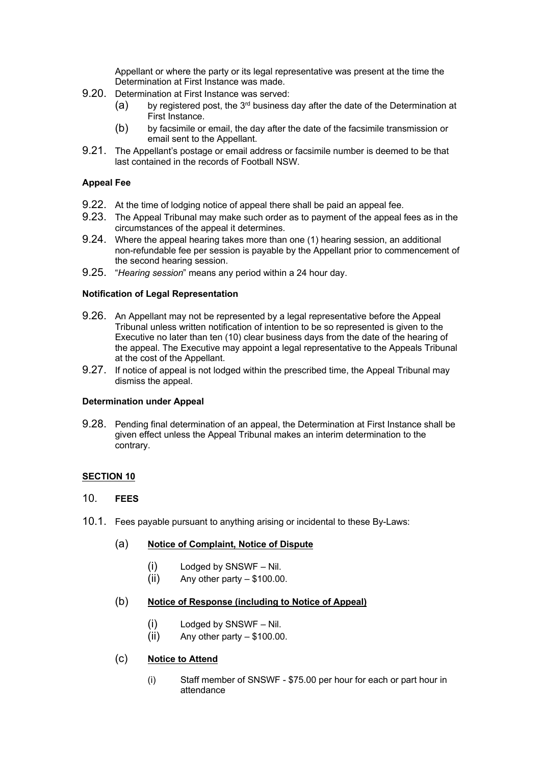Appellant or where the party or its legal representative was present at the time the Determination at First Instance was made.

- 9.20. Determination at First Instance was served:
	- (a) by registered post, the 3<sup>rd</sup> business day after the date of the Determination at First Instance.
	- (b) by facsimile or email, the day after the date of the facsimile transmission or email sent to the Appellant.
- 9.21. The Appellant's postage or email address or facsimile number is deemed to be that last contained in the records of Football NSW.

## **Appeal Fee**

- 9.22. At the time of lodging notice of appeal there shall be paid an appeal fee.
- 9.23. The Appeal Tribunal may make such order as to payment of the appeal fees as in the circumstances of the appeal it determines.
- 9.24. Where the appeal hearing takes more than one (1) hearing session, an additional non-refundable fee per session is payable by the Appellant prior to commencement of the second hearing session.
- 9.25. "*Hearing session*" means any period within a 24 hour day.

### **Notification of Legal Representation**

- 9.26. An Appellant may not be represented by a legal representative before the Appeal Tribunal unless written notification of intention to be so represented is given to the Executive no later than ten (10) clear business days from the date of the hearing of the appeal. The Executive may appoint a legal representative to the Appeals Tribunal at the cost of the Appellant.
- 9.27. If notice of appeal is not lodged within the prescribed time, the Appeal Tribunal may dismiss the appeal.

## **Determination under Appeal**

9.28. Pending final determination of an appeal, the Determination at First Instance shall be given effect unless the Appeal Tribunal makes an interim determination to the contrary.

## **SECTION 10**

# 10. **FEES**

10.1. Fees payable pursuant to anything arising or incidental to these By-Laws:

# (a) **Notice of Complaint, Notice of Dispute**

- (i) Lodged by SNSWF Nil.
- $(ii)$  Any other party  $-$  \$100.00.

### (b) **Notice of Response (including to Notice of Appeal)**

- (i) Lodged by SNSWF Nil.
- $(ii)$  Any other party  $-$  \$100.00.

## (c) **Notice to Attend**

(i) Staff member of SNSWF - \$75.00 per hour for each or part hour in attendance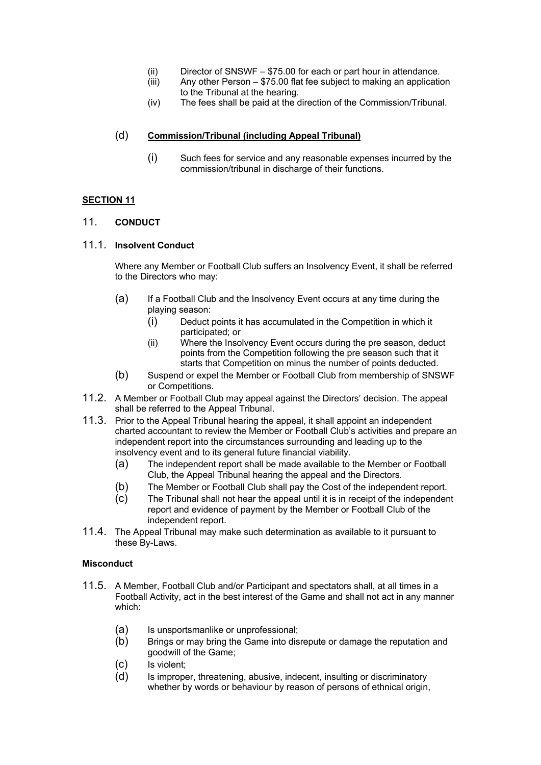- (ii) Director of SNSWF \$75.00 for each or part hour in attendance.
- (iii) Any other Person \$75.00 flat fee subject to making an application to the Tribunal at the hearing.
- (iv) The fees shall be paid at the direction of the Commission/Tribunal.

# (d) **Commission/Tribunal (including Appeal Tribunal)**

(i) Such fees for service and any reasonable expenses incurred by the commission/tribunal in discharge of their functions.

## **SECTION 11**

## 11. **CONDUCT**

## 11.1. **Insolvent Conduct**

Where any Member or Football Club suffers an Insolvency Event, it shall be referred to the Directors who may:

- (a) If a Football Club and the Insolvency Event occurs at any time during the playing season:
	- (i) Deduct points it has accumulated in the Competition in which it participated; or
	- (ii) Where the Insolvency Event occurs during the pre season, deduct points from the Competition following the pre season such that it starts that Competition on minus the number of points deducted.
- (b) Suspend or expel the Member or Football Club from membership of SNSWF or Competitions.
- 11.2. A Member or Football Club may appeal against the Directors' decision. The appeal shall be referred to the Appeal Tribunal.
- 11.3. Prior to the Appeal Tribunal hearing the appeal, it shall appoint an independent charted accountant to review the Member or Football Club's activities and prepare an independent report into the circumstances surrounding and leading up to the insolvency event and to its general future financial viability.
	- (a) The independent report shall be made available to the Member or Football Club, the Appeal Tribunal hearing the appeal and the Directors.
	- (b) The Member or Football Club shall pay the Cost of the independent report.
	- (c) The Tribunal shall not hear the appeal until it is in receipt of the independent report and evidence of payment by the Member or Football Club of the independent report.
- 11.4. The Appeal Tribunal may make such determination as available to it pursuant to these By-Laws.

## **Misconduct**

- 11.5. A Member, Football Club and/or Participant and spectators shall, at all times in a Football Activity, act in the best interest of the Game and shall not act in any manner which:
	- (a) Is unsportsmanlike or unprofessional;
	- (b) Brings or may bring the Game into disrepute or damage the reputation and goodwill of the Game;
	- (c) Is violent;
	- (d) Is improper, threatening, abusive, indecent, insulting or discriminatory whether by words or behaviour by reason of persons of ethnical origin,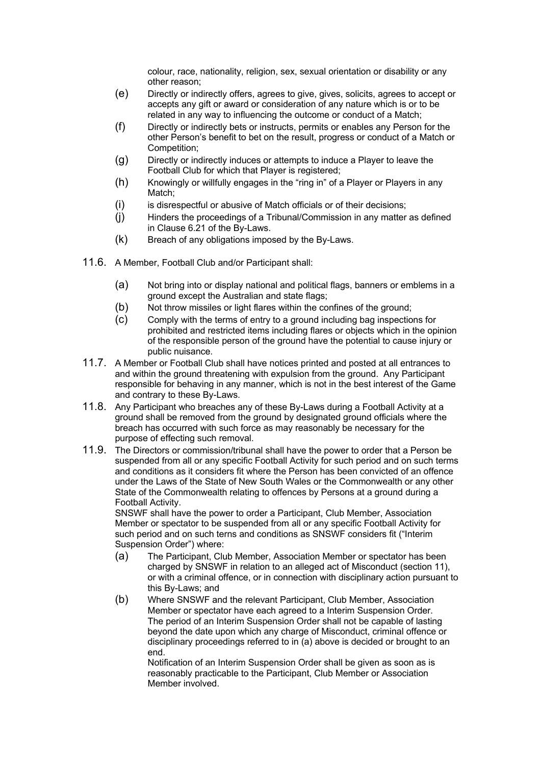colour, race, nationality, religion, sex, sexual orientation or disability or any other reason;

- (e) Directly or indirectly offers, agrees to give, gives, solicits, agrees to accept or accepts any gift or award or consideration of any nature which is or to be related in any way to influencing the outcome or conduct of a Match;
- (f) Directly or indirectly bets or instructs, permits or enables any Person for the other Person's benefit to bet on the result, progress or conduct of a Match or Competition;
- (g) Directly or indirectly induces or attempts to induce a Player to leave the Football Club for which that Player is registered;
- (h) Knowingly or willfully engages in the "ring in" of a Player or Players in any Match;
- (i) is disrespectful or abusive of Match officials or of their decisions;
- (j) Hinders the proceedings of a Tribunal/Commission in any matter as defined in Clause 6.21 of the By-Laws.
- (k) Breach of any obligations imposed by the By-Laws.
- 11.6. A Member, Football Club and/or Participant shall:
	- (a) Not bring into or display national and political flags, banners or emblems in a ground except the Australian and state flags;
	- (b) Not throw missiles or light flares within the confines of the ground:
	- (c) Comply with the terms of entry to a ground including bag inspections for prohibited and restricted items including flares or objects which in the opinion of the responsible person of the ground have the potential to cause injury or public nuisance.
- 11.7. A Member or Football Club shall have notices printed and posted at all entrances to and within the ground threatening with expulsion from the ground. Any Participant responsible for behaving in any manner, which is not in the best interest of the Game and contrary to these By-Laws.
- 11.8. Any Participant who breaches any of these By-Laws during a Football Activity at a ground shall be removed from the ground by designated ground officials where the breach has occurred with such force as may reasonably be necessary for the purpose of effecting such removal.
- 11.9. The Directors or commission/tribunal shall have the power to order that a Person be suspended from all or any specific Football Activity for such period and on such terms and conditions as it considers fit where the Person has been convicted of an offence under the Laws of the State of New South Wales or the Commonwealth or any other State of the Commonwealth relating to offences by Persons at a ground during a Football Activity.

SNSWF shall have the power to order a Participant, Club Member, Association Member or spectator to be suspended from all or any specific Football Activity for such period and on such terns and conditions as SNSWF considers fit ("Interim Suspension Order") where:

- (a) The Participant, Club Member, Association Member or spectator has been charged by SNSWF in relation to an alleged act of Misconduct (section 11), or with a criminal offence, or in connection with disciplinary action pursuant to this By-Laws; and
- (b) Where SNSWF and the relevant Participant, Club Member, Association Member or spectator have each agreed to a Interim Suspension Order. The period of an Interim Suspension Order shall not be capable of lasting beyond the date upon which any charge of Misconduct, criminal offence or disciplinary proceedings referred to in (a) above is decided or brought to an end.

Notification of an Interim Suspension Order shall be given as soon as is reasonably practicable to the Participant, Club Member or Association Member involved.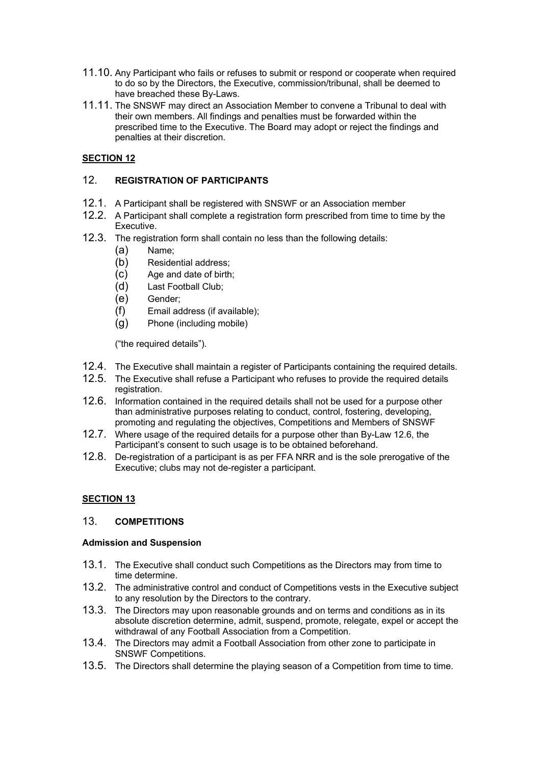- 11.10. Any Participant who fails or refuses to submit or respond or cooperate when required to do so by the Directors, the Executive, commission/tribunal, shall be deemed to have breached these By-Laws.
- 11.11. The SNSWF may direct an Association Member to convene a Tribunal to deal with their own members. All findings and penalties must be forwarded within the prescribed time to the Executive. The Board may adopt or reject the findings and penalties at their discretion.

# **SECTION 12**

# 12. **REGISTRATION OF PARTICIPANTS**

- 12.1. A Participant shall be registered with SNSWF or an Association member
- 12.2. A Participant shall complete a registration form prescribed from time to time by the Executive.
- 12.3. The registration form shall contain no less than the following details:
	- (a) Name;
	- (b) Residential address;
	- (c) Age and date of birth;
	- (d) Last Football Club;
	- (e) Gender;
	- (f) Email address (if available);
	- (g) Phone (including mobile)

("the required details").

- 12.4. The Executive shall maintain a register of Participants containing the required details.
- 12.5. The Executive shall refuse a Participant who refuses to provide the required details registration.
- 12.6. Information contained in the required details shall not be used for a purpose other than administrative purposes relating to conduct, control, fostering, developing, promoting and regulating the objectives, Competitions and Members of SNSWF
- 12.7. Where usage of the required details for a purpose other than By-Law 12.6, the Participant's consent to such usage is to be obtained beforehand.
- 12.8. De-registration of a participant is as per FFA NRR and is the sole prerogative of the Executive; clubs may not de-register a participant.

# **SECTION 13**

## 13. **COMPETITIONS**

## **Admission and Suspension**

- 13.1. The Executive shall conduct such Competitions as the Directors may from time to time determine.
- 13.2. The administrative control and conduct of Competitions vests in the Executive subject to any resolution by the Directors to the contrary.
- 13.3. The Directors may upon reasonable grounds and on terms and conditions as in its absolute discretion determine, admit, suspend, promote, relegate, expel or accept the withdrawal of any Football Association from a Competition.
- 13.4. The Directors may admit a Football Association from other zone to participate in SNSWF Competitions.
- 13.5. The Directors shall determine the playing season of a Competition from time to time.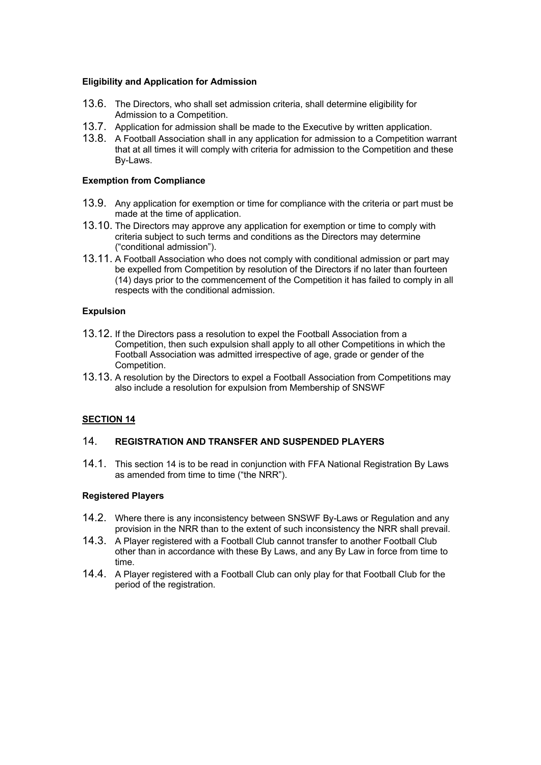### **Eligibility and Application for Admission**

- 13.6. The Directors, who shall set admission criteria, shall determine eligibility for Admission to a Competition.
- 13.7. Application for admission shall be made to the Executive by written application.
- 13.8. A Football Association shall in any application for admission to a Competition warrant that at all times it will comply with criteria for admission to the Competition and these By-Laws.

#### **Exemption from Compliance**

- 13.9. Any application for exemption or time for compliance with the criteria or part must be made at the time of application.
- 13.10. The Directors may approve any application for exemption or time to comply with criteria subject to such terms and conditions as the Directors may determine ("conditional admission").
- 13.11. A Football Association who does not comply with conditional admission or part may be expelled from Competition by resolution of the Directors if no later than fourteen (14) days prior to the commencement of the Competition it has failed to comply in all respects with the conditional admission.

#### **Expulsion**

- 13.12. If the Directors pass a resolution to expel the Football Association from a Competition, then such expulsion shall apply to all other Competitions in which the Football Association was admitted irrespective of age, grade or gender of the Competition.
- 13.13. A resolution by the Directors to expel a Football Association from Competitions may also include a resolution for expulsion from Membership of SNSWF

## **SECTION 14**

## 14. **REGISTRATION AND TRANSFER AND SUSPENDED PLAYERS**

14.1. This section 14 is to be read in conjunction with FFA National Registration By Laws as amended from time to time ("the NRR").

#### **Registered Players**

- 14.2. Where there is any inconsistency between SNSWF By-Laws or Regulation and any provision in the NRR than to the extent of such inconsistency the NRR shall prevail.
- 14.3. A Player registered with a Football Club cannot transfer to another Football Club other than in accordance with these By Laws, and any By Law in force from time to time.
- 14.4. A Player registered with a Football Club can only play for that Football Club for the period of the registration.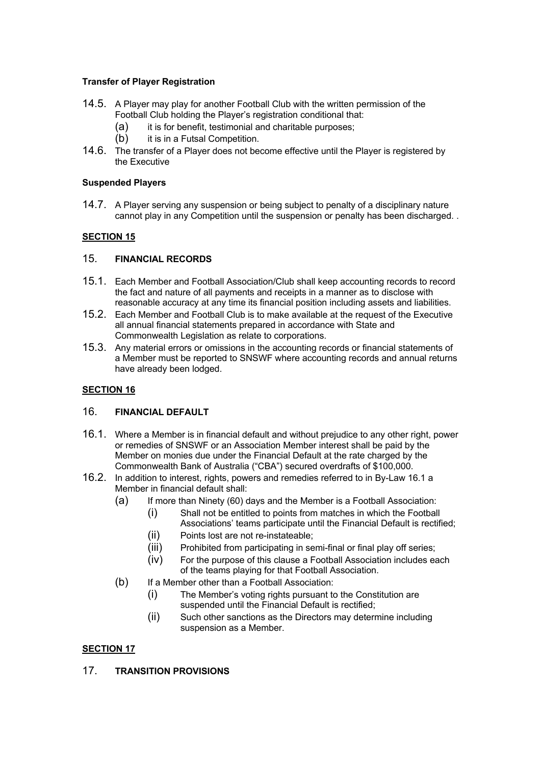# **Transfer of Player Registration**

- 14.5. A Player may play for another Football Club with the written permission of the Football Club holding the Player's registration conditional that:
	- (a) it is for benefit, testimonial and charitable purposes;
	- (b) it is in a Futsal Competition.
- 14.6. The transfer of a Player does not become effective until the Player is registered by the Executive

## **Suspended Players**

14.7. A Player serving any suspension or being subject to penalty of a disciplinary nature cannot play in any Competition until the suspension or penalty has been discharged. .

# **SECTION 15**

## 15. **FINANCIAL RECORDS**

- 15.1. Each Member and Football Association/Club shall keep accounting records to record the fact and nature of all payments and receipts in a manner as to disclose with reasonable accuracy at any time its financial position including assets and liabilities.
- 15.2. Each Member and Football Club is to make available at the request of the Executive all annual financial statements prepared in accordance with State and Commonwealth Legislation as relate to corporations.
- 15.3. Any material errors or omissions in the accounting records or financial statements of a Member must be reported to SNSWF where accounting records and annual returns have already been lodged.

# **SECTION 16**

## 16. **FINANCIAL DEFAULT**

- 16.1. Where a Member is in financial default and without prejudice to any other right, power or remedies of SNSWF or an Association Member interest shall be paid by the Member on monies due under the Financial Default at the rate charged by the Commonwealth Bank of Australia ("CBA") secured overdrafts of \$100,000.
- 16.2. In addition to interest, rights, powers and remedies referred to in By-Law 16.1 a Member in financial default shall:
	- (a) If more than Ninety (60) days and the Member is a Football Association:
		- (i) Shall not be entitled to points from matches in which the Football Associations' teams participate until the Financial Default is rectified;
		- (ii) Points lost are not re-instateable;
		- (iii) Prohibited from participating in semi-final or final play off series;
		- (iv) For the purpose of this clause a Football Association includes each of the teams playing for that Football Association.
	- (b) If a Member other than a Football Association:
		- (i) The Member's voting rights pursuant to the Constitution are suspended until the Financial Default is rectified;
		- (ii) Such other sanctions as the Directors may determine including suspension as a Member.

## **SECTION 17**

# 17. **TRANSITION PROVISIONS**